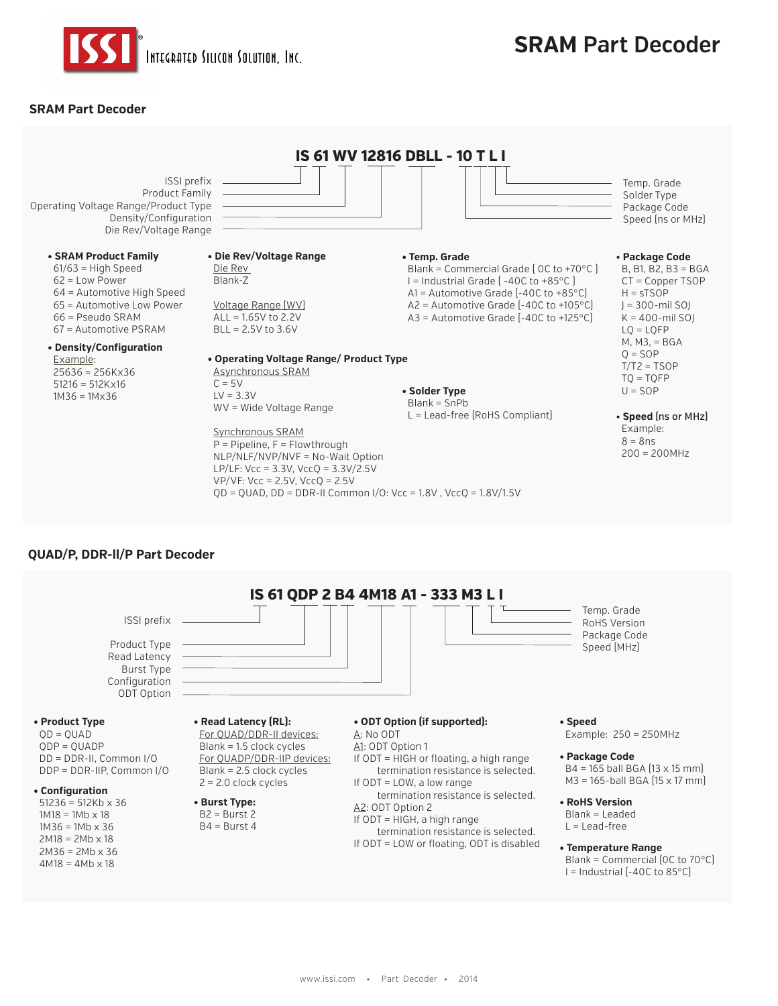

# **SRAM Part Decoder**

## **SRAM Part Decoder**



## **QUAD/P, DDR-ll/P Part Decoder**

**IS 61 QDP 2 B4 4M18 A1 - 333 M3 L I • Product Type**  $QD = QUAD$ **• Read Latency (RL):** For QUAD/DDR-II devices: Blank = 1.5 clock cycles **• ODT Option (if supported):** A: No ODT A1: ODT Option 1 ISSI prefix Product Type Read Latency Burst Type **Configuration** ODT Option

 $ODE = QUADP$ DD = DDR-II, Common I/O DDP = DDR-IIP, Common I/O

### **• Configuration**

 $51236 = 512Kb \times 36$  $1M18 = 1Mb \times 18$  $1M36 = 1Mb \times 36$  $2M18 = 2Mb \times 18$  $2M36 = 2Mb \times 36$  $4M18 = 4Mb \times 18$ 

#### For QUADP/DDR-IIP devices: Blank = 2.5 clock cycles

2 = 2.0 clock cycles **• Burst Type:**

 $B2 = Burst 2$  $B4 = Burst 4$  If ODT = HIGH or floating, a high range termination resistance is selected.

If ODT = LOW, a low range termination resistance is selected.

A2: ODT Option 2 If ODT = HIGH, a high range

 termination resistance is selected. If ODT = LOW or floating, ODT is disabled **• Speed** Example: 250 = 250MHz

Temp. Grade RoHS Version Package Code Speed (MHz)

- **Package Code**  $B4 = 165$  ball BGA  $[13 \times 15$  mm M3 = 165-ball BGA (15 x 17 mm)
- **RoHS Version** Blank = Leaded  $L =$ Lead-free
- **Temperature Range** Blank = Commercial (0C to 70°C)  $I =$  Industrial  $[-40C \text{ to } 85^{\circ}C]$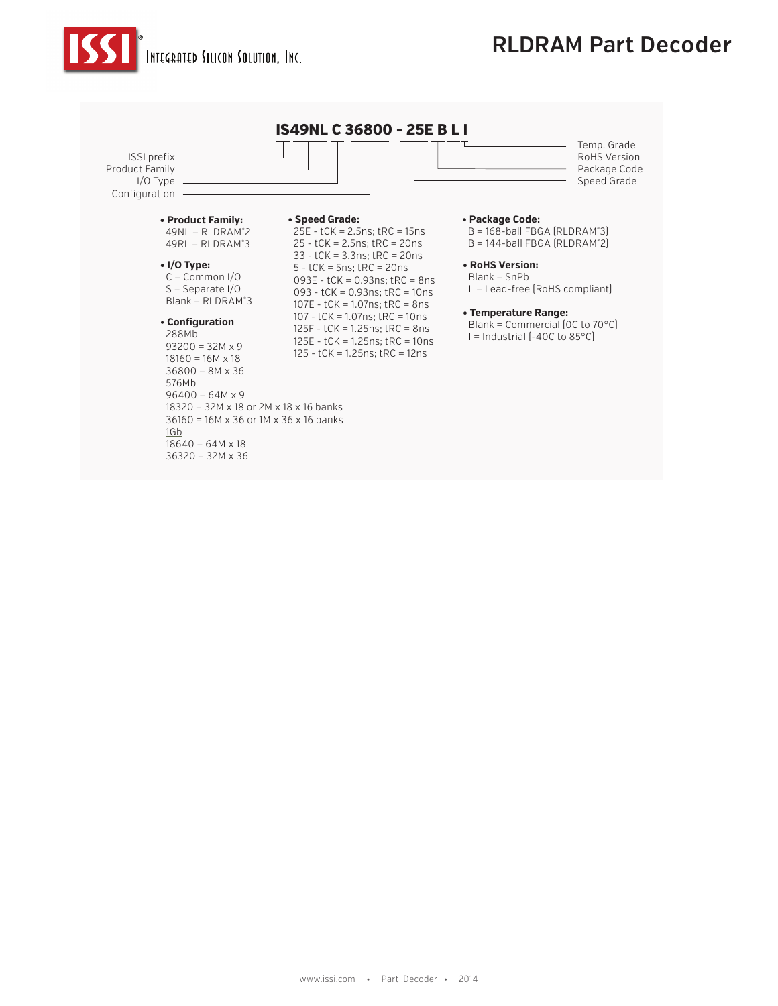

# **RLDRAM Part Decoder**